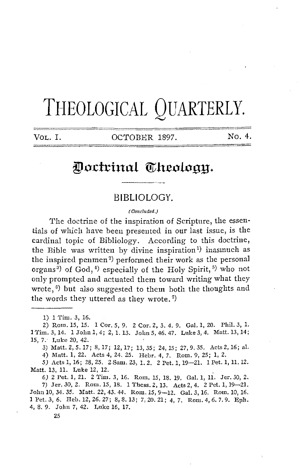# THEOLOGICAL QUARTERLY.

VOL. I. COTOBER 1897. No. 4.

# Doctrinal Theology.

### BIBLIOLOGY.

{ Concluded.)

The doctrine of the inspiration of Scripture, the essentials of which have been presented in our last issue, is the cardinal topic of Bibliology. According to this doctrine, the Bible was written by divine inspiration<sup>1</sup>) inasinuch as the inspired penmen<sup>2)</sup> performed their work as the personal organs<sup>3</sup>) of God,<sup>4</sup>) especially of the Holy Spirit,<sup>5</sup>) who not only prompted and actuated them toward writing what they wrote,  $\mathfrak{g}$ ) but also suggested to them both the thoughts and the words they uttered as they wrote. 7)

1) 1 Tim. 3, 16.

2) Rom. 15, 15. 1 Cor. 5, 9. 2 Cor. 2, 3. 4, 9. Gal. 1, 20. Phil. 3, 1. l'l'im.3,14. lJohul,4; 2,1.13. Jolm5,46.47. Luke3,4. Matt.13,14; *15,* 7.· Luke 20, 42.

3) Matt.2,5.17; 8,17; 12,17; 13,35; 24,15; 27,9.35. Acts2,16; al. 4) Matt. 1, 22. Acts 4, 24. 25. Hebr. 4, 7. Rom. 9, 25; 1, 2.

SJ Acts 1, 16; 28, 25. 2 Sam. 23, 1. 2. 2 Pet. 1, 19-21. 1 Pet. 1, 11. 12. Matt. 13, 11. Luke 12, 12.

*6)* 2 Pet. 1, 21. 2 Tim. 3, 16. Rom. 15, 18. 19. Gal. 1, 11. Jer. 30, 2. 7) Jer. 30, 2. Rom. 15, 18. 1 Thess. 2, 13. Acts 2, 4. 2 Pet. 1, 19-21. John 10, 34. 35. Matt. 22, 43. 44. Rom. 15, 9-12. Gal. 3, 16. Rom. 10, 16. 1 Pet. 3, 6. Heb. 12, 26. 27; 8, 8. 13; 7, 20. 21; 4, 7. Rom. 4, 6. 7. 9. Eph. 4, 8. 9. John 7, 42. Luke 16, 17.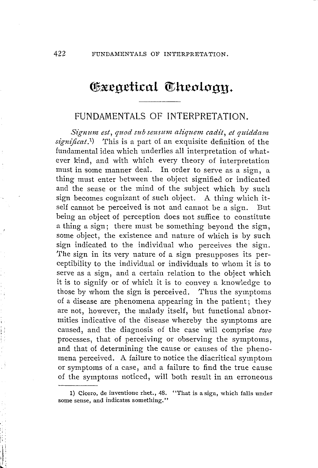## Coxeaetical Theology.

## FUNDAMENTALS OF INTERPRETATION.

Signum est, quod sub sensum aliquem cadit, et quiddam *signijicat* . 1 ) This is a part of an exquisite definition of the fundamental idea which underlies all interpretation of whatever kind, and with which every theory of interpretation must in some manner deal. In order to serve as a sign, a thing must enter between the object signified or indicated and the sense or the mind of the subject which by such sign becomes cognizant of such object. A thing which itself cannot be perceived is not and cannot be a sign. But being an object of perception does not suffice to constitute a thing a sign: there must be something beyond the sign. some object, the existence and nature of which is by such sign indicated to the individual who perceives the sign. The sign in its very nature of a sign presupposes its perceptibility to the individual or individuals to whom it is to serve as a sign, and a certain relation to the object which it is to signify or of which it is to convey a knowledge to those by whom the sign is perceived. Thus the symptoms of a disease are phenomena appearing in the patient; they are not, however, the malady itself, but functional abnormities indicative of the disease whereby the symptoms are caused, and the diagnosis of the case will comprise *two*  processes, that of perceiving or observing the symptoms, and that of determining the cause or causes of the phenomena perceived. A failure to notice the diacritical symptom or symptoms of a case, and a failure to find the true cause of the symptoms noticed, will both result in an erroneous

<sup>1)</sup> Cicero, de inventione rhet., 48. "That is a sign, which falls under some sense, and indicates something."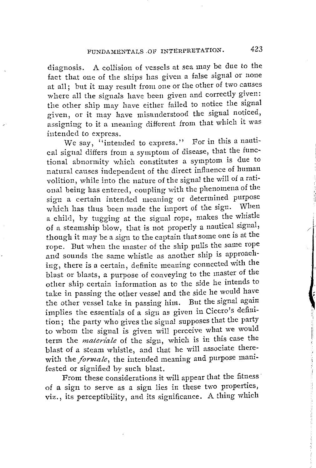diagnosis. A collision of vessels at sea may be due to the fact that one of the ships has given a false signal or none at all; but it may result from one or the other of two causes where all the signals have been given and correctly given: the other ship may have either failed to notice the signal given, or it may have misunderstood the signal noticed, assigning to it a meaning different from that which it was intended to express.

We say, "intended to express." For in this a nautical signal differs from a symptom of disease, that the functional abnormity which constitutes a symptom is due to natural causes independent of the direct influence of human volition, while into the nature of the signal the will of a rational being has entered, coupling with the phenomena of the sign a certain intended meaning or determined purpose which has thus been made the import of the sign. When a child, by tugging at the signal rope, makes the whistle of a steamship blow, that is not properly a nautical signal, though it may be a sign to the captain that some one is at the rope. But when the master of the ship pulls the same rope and sounds the same whistle as another ship is approaching, there is a certain, definite meaning connected with the blast or blasts, a purpose of conveying to the master of the other ship certain information as to the side he intends to take in passing the other vessel and the side he would have the other vessel take in passing him. But the signal again implies the essentials of a sign as given in Cicero's definition; the party who gives the signal supposes that the party to whom the signal is given will perceive what we would term the *materiale* of the sign, which is in this case the blast of a steam whistle, and that he will associate therewith the *formale*, the intended meaning and purpose manifested or signified by such blast.

From these considerations it will appear that the fitness of a sign to serve as a sign lies in these two properties, viz., its perceptibility, and its significance. A thing **which** 

i /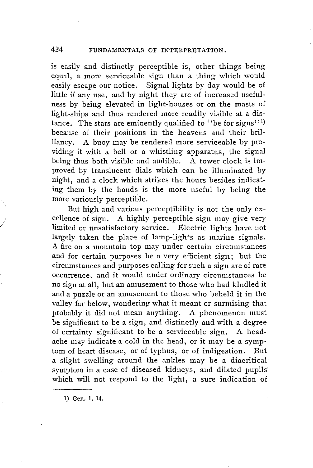#### 424 FUNDAMENTALS OF INTERPRETATION.

is easily and distinctly perceptible is, other things being equal, a more serviceable sign than a thing which would easily escape our notice. Signal lights by day would be of little if any use, and by night they are of increased usefulness by being elevated in light-houses or on the masts of light-ships and thus rendered more readily visible at a distance. The stars are eminently qualified to "be for signs"1) because of their positions in the heavens and their brilliancy. A buoy may be rendered more serviceable by providing it with a bell or a whistling apparatus, the signal being thus both visible and audible. A tower clock is improved by translucent dials which can be illuminated by night, and a clock which strikes the hours besides indicating them by the hands is the more useful by being the more variously perceptible.

But high and various perceptibility is not the only excellence of sign. A highly perceptible sign may give very limited or unsatisfactory service. Electric lights have not largely taken the place of lamp-lights as marine signals. A fire on a mountain top may under certain circumstances and for certain purposes be a very efficient sign; but the circumstances and purposes calling for such a sign are of rare occurrence, and it would under ordinary circumstances be no sign at all, but an amusement to those who had kindled it and a puzzle or an amusement to those who beheld it in the valley far below, wondering what it meant or surmising that probably it did not mean anything. A phenomenon must be significant to be a sign, and distinctly and with a degree of certainty significant to be a serviceable sign. A headache may indicate a cold in the head, or it may be a symptom of heart disease, or of typhus, or of indigestion. But a slight swelling around the ankles may be a diacritical symptom in a case of diseased kidneys, and dilated pupils' which will not respond to the light, a sure indication of

1) Gen. 1, 14.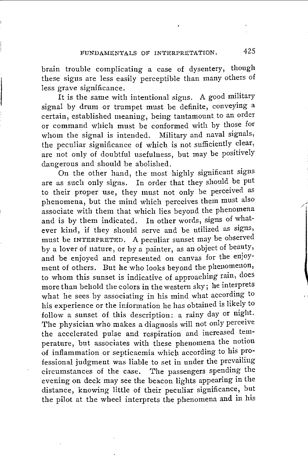brain trouble complicating a case of dysentery, though these signs are less easily perceptible than many others of less grave significance.

It is the same with intentional signs. A good military signal by drum or trumpet must be definite, conveying a certain, established meaning, being tantamount to an order or command which must be conformed with by those for whom the signal is intended. Military and naval signals, the peculiar significance of which is not sufficiently clear, are not only of doubtful usefulness, but may be positively dangerous and should be abolished.

On the other hand, the most highly significant signs are as such only signs. In order that they should be put to their proper use, they must not only be perceived as phenomena, but the mind which perceives them must also associate with them that which lies beyond the phenomena and is by them indicated. In other words, signs of whatever kind, if they should serve and be utilized as signs, must be INTERPRETED. A peculiar sunset may be observed by a lover of nature, or by a painter, as an object of beauty, and be enjoyed and represented on canvas for the enjoy• ment of others. But he who looks beyond the phenomenon, to whom this sunset is indicative of approaching rain, does more than behold the colors in the western sky; he interprets what he sees by associating in his mind what according to his experience or the information he has obtained is likely to follow a sunset of this description: a rainy day or night. The physician who makes a diagnosis will not only perceive the accelerated pulse and respiration and increased temperature, but associates with these phenomena the notion of inflammation or septicaemia which according to his professional judgment was liable to set in under the prevailing circumstances of the case. The passengers spending the evening on deck may see the beacon lights appearing in the distance, knowing little of their peculiar significance, but the pilot at the wheel interprets the phenomena and in his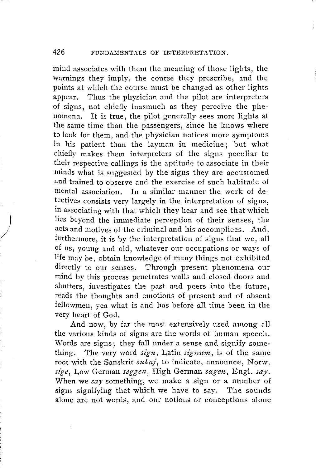mind associates with them the meaning of those lights, the warnings they imply, the course they prescribe, and the points at which the course must be changed as other lights appear. Thus the physician and the pilot are interpreters of signs, not chiefly inasmuch as they perceive the phenomena. It is true, the pilot generally sees more lights at the same time than the passengers, since he knows where to look for them, and the physician notices more symptoms in his patient than the layman in medicine; but what chiefly makes them interpreters of the signs peculiar to their respective callings is the aptitude to associate in their minds what is suggested by the signs they are accustomed and trained to observe and the exercise of such habitude of mental association. In a similar manner the work of detectives consists very largely in the interpretation of signs, in associating with that which they hear and see that which lies beyond the immediate perception of their senses, the acts and motives of the criminal and his accomplices. And, furthermore, it is by the interpretation of signs that we, all of us, young and old, whatever our occupations or ways of life may be, obtain knowledge of many things not exhibited directly to our senses. Through present phenomena our mind by this process penetrates walls and closed doors and shutters, investigates the past and peers into the future, reads the thoughts and emotions of present and of absent fellowmen, yea what is and has before all time been in the very heart of God.

 $\overline{\phantom{a}}$ 

/

And now, by far the most extensively used among all the various kinds of signs are the words of human speech. Words are signs; they fall under a sense and signify something. The very word *sign*, Latin *signum*, is of the same root with the Sanskrit *sukaj*, to indicate, announce, Norw. *sz'ge,* Low German *seggen,* High Gennan *sagen,* Engl. *say.*  When we *say* something, we make a sign or a number of signs signifying that which we have to say. The sounds alone are not words, and our notions or conceptions alone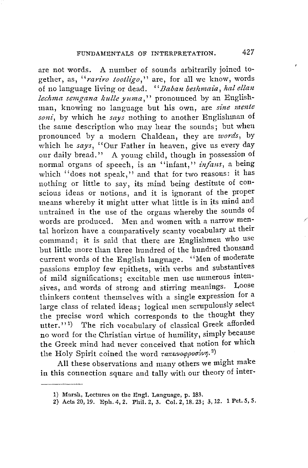are not words. A number of sounds arbitrarily joined together, as, "rariro tootligo," are, for all we know, words of no language living or dead. "Baban beshmaia, hal ellan *lechma semgana kulle ymna,''* pronounced by an Englishman, knowing no language but his own, are *sine mente soni,* by which he *says* nothing to another Englishman of the same description who may hear the sounds; but when pronounced by a modern Chaldean, they are *words,* by which he *says*, "Our Father in heaven, give us every day our daily bread." A young child, though in possession of normal organs of speech, is an "infant," *infans*, a being which ''does not speak,'' and that for two reasons: it has nothing or little to say, its mind being destitute of conscious ideas or notions, and it is ignorant of the proper means whereby it might utter what little is in its mind and untrained in the use of the organs whereby the sounds of words are produced. Men and women with a narrow mental horizon have a comparatively scanty vocabulary at their command; it is said that there are Englishmen who use but little more than three hundred of the hundred thousand current words of the English language. "Men of moderate passions employ few epithets, with verbs and substantives of mild significations; excitable men use numerous intensives, and words of strong and stirring meanings. Loose thinkers content themselves with a single expression for a large class of related ideas; logical men scrupulously select the precise word which corresponds to the thought they utter."<sup>1</sup>) The rich vocabulary of classical Greek afforded no word for the Christian virtue of humility, simply because the Greek mind had never conceived that notion for which the Holy Spirit coined the word ταπεινοφροσύνη.<sup>2)</sup>

All these observations and many others we might make in this connection square and tally with our theory of inter-

<sup>1)</sup> Marsh, Lectures on the Engl. Language, p. 183.

<sup>2)</sup> Acts 20, 19. Eph. 4, 2. Phil. 2, 3. Col. 2, 18. 23; 3, 12. 1 Pet. 5, 5.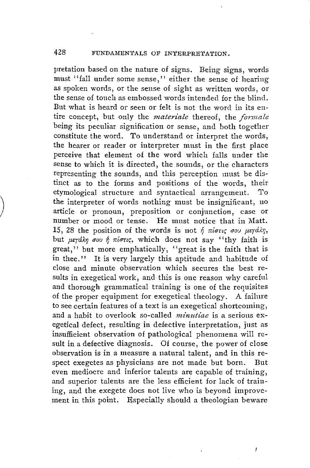pretation based on the nature of signs. Being signs, words must "fall under some sense," either the sense of hearing as spoken words, or the sense of sight as written words, or the sense of touch as embossed words intended for the blind. But what is heard or seen or felt is not the word in its entire concept, but only the *materiale* thereof, the *formale* being its peculiar signification or sense, and both together constitute the word. *To* understand or interpret the words, the hearer or reader or interpreter must in the first place perceive that element of the word which falls under the sense to which it is directed, the sounds, or the characters representing the sounds, and this perception must be distinct as to the forms and positions of the words, their etymological structure and syntactical arrangement. 'l'o the interpreter of words nothing must be insignificant, 110 article or pronoun, preposition or conjunction, case or number or mood or tense. He must notice that in Matt. 15, 28 the position of the words is not  $\delta$  *right*; *ou*  $\mu$ srdky, but μεγάλη σου ή πίστις, which does not say "thy faith is great," but more emphatically, "great is the faith that is in thee.'' It is very largely this aptitude and habitude of close and minute observation which secures the best results in exegetical work, and this is one reason why careful and thorough grammatical training is one of the requisites of the proper equipment for exegetical theology. A failure to see certain features of a text is an exegetical shortcoming, and a habit to overlook so-called *minutiae* is a serious exegetical defect, resulting in defective interpretation, just as insufficient observation of pathological phenomena will result in a defective diagnosis. Of course, the power of close observation is in a measure a natural talent, and in this respect exegetes as physicians are not made but born. But even mediocre and inferior talents are capable of training, and superior talents are the less efficient for lack of training, and the exegete does not live who is beyond improvement in this point. Especially should a theologian beware

 $\Big)$ 

 $\int$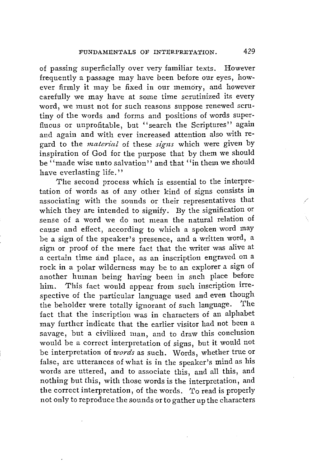of passing superficially over very familiar texts. However frequently a passage may have been before our eyes, however firmly it may be fixed in our memory, and however carefully we may have at some time scrutinized its every word, we must not for such reasons suppose renewed scrutiny of the words and forms and positions of words superfluous or unprofitable, but "search the Scriptures" again and again and with ever increased attention also with re*gard to the <i>material* of these *signs* which were given by inspiration of God for the purpose that by them we should be  $``$ made wise unto salvation" and that  $``$  in them we should have everlasting life.''

The second process which is essential to the interpretation of words as of any other kind of signs consists in associating with the sounds or their representatives that which they are intended to signify. By the signification or sense of a word we do not mean the natural relation of cause and effect, according to which a spoken word may be a sign of the speaker's presence, and a written word, a sign or proof of the mere fact that the writer was alive at a certain time and place, as an inscription engraved on a rock in a polar wilderness may be to an explorer a sign of another human being having been in such place before him. This fact would appear from such inscription irrespective of the particular language used and even though the beholder were totally ignorant of such language. The fact that the inscription was in characters of an alphabet may further indicate that the earlier visitor had not been a savage, but a civilized man, and to draw this conclusion would be a correct interpretation of signs, but it would not be interpretation of *words* as such. Words, whether true or false, are utterances of what is in the speaker's mind as his words are uttered, and to associate this, and all this, and nothing but this, with those words is the interpretation, and the correct interpretation, of the words. To read is properly not only to reproduce the sounds orto gather up the characters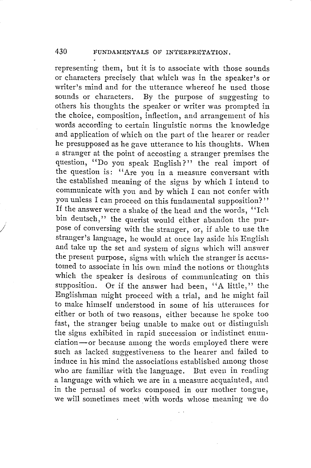representing them, but it is to associate with those sounds or characters precisely that which was in the speaker's or writer's mind and for the utterance whereof he used those sounds or characters. By the purpose of suggesting to others his thoughts the speaker or writer was prompted in the choice, composition, inflection, and arrangement of his words according to certain linguistic norms the knowledge and application of which on the part of the hearer or reader he presupposed as he gave utterance to his thoughts. When a stranger at the point of accosting a stranger premises the question, ''Do you speak English?'' the real import of the question is: "Are you in a measure conversant with the established meaning of the signs by which I intend to communicate with you and by which I can not confer with you unless I can proceed on this fundamental supposition?'' If the answer were a shake of the head and the words, ''Ich bin deutsch," the querist would either abandon the purpose of conversing with the stranger, or, if able to use the stranger's language, he would at once lay aside his English and take up the set and system of signs which wi11 answer the present purpose, signs with which the stranger is accustomed to associate in his own mind the notions or thoughts which the speaker is desirous of communicating on this supposition. Or if the answer had been, "A little," the Englishman might proceed with a trial, and he might fail to make himself understood in some of his utterances for either or both of two reasons, either because he spoke too fast, the stranger being unable to make out or distinguish the signs exhibited in rapid succession or indistinct enunciation-or because among the words employed there were such as lacked suggestiveness to the hearer and failed to induce in his mind the associations established among those who are familiar with the language. But even in reading a language with which we are in a measure acquainted, and in the perusal of works composed in our mother tongue, we will sometimes meet with words whose meaning we do

J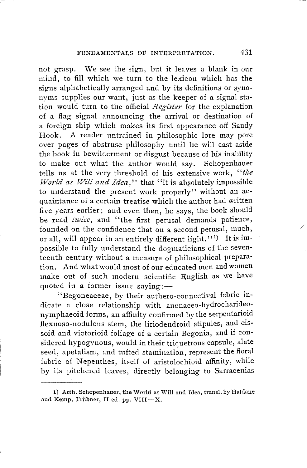not grasp. We see the sign, bnt it leaves a blank in our mind, to fill which we turn to the lexicon which has the signs alphabetically arranged and by its definitions or synonyms supplies our want, just as the keeper of a signal station would turn to the official *Register* for the explanation of a flag signal announcing the arrival or destination of a foreign ship which makes its first appearance off Sandy Hook. A reader untrained in philosophic lore may pore over pages of abstruse philosophy until he will cast aside the book in bewilderment or disgust because of his inability to make out what the author would say. Schopenhauer tells us at the very threshold of his extensive work, '' *the World as Will and Idea,"* that "it is absolutely impossible to understand the present work properly'' without an acquaintance of a certain treatise which the author had written five years earlier; and even then, he says, the book should be read *twice,* and "the first perusal demands patience, founded on the confidence that on a second perusal, much, or all, will appear in an entirely different light.''<sup>1)</sup> It is impossible to fully understand the dogmaticians of the seventeenth century without a measure of philosophical preparation. And what would most of our educated men and women make out of such modern scientific English as we have quoted in a former issue saying: $-$ 

' 'Begoneaceae, by their authero-connectival fabric indicate a close relationship with anonaceo-hydrocharideonymphaeoid forms, an affinity confirmed by the serpentarioid flexuoso-nodulous stem, the liriodendroid stipules, and cissoid and victorioid foliage of a certain Begonia, and if considered hypogynous, would in their triquetrous capsule, alate seed, apetalism, and tufted stamination, represent the floral fabric of Nepenthes, itself of aristolochioid affinity, while by its pitchered leaves, directly belonging to Sarracenias

<sup>1)</sup> Arth. Schopenhauer, the World as Will and Idea, transl. by Haldane and Kemp, Trübner, II ed. pp. VIII-X.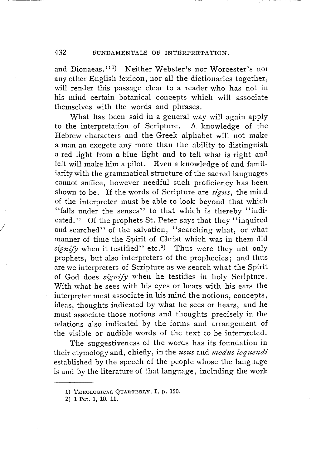#### 432 FUNDAMENTALS OF INTERPRETATION.

and Dionaeas." 1 ) Neither Webster's nor Worcester's nor any other English lexicon, nor all the dictionaries together, will render this passage clear to a reader who has not in his mind certain botanical concepts which will associate themselves with the words and phrases.

What has been said in a general way will again apply to the interpretation of Scripture. A knowledge of the Hebrew characters and the Greek alphabet will not make a man an exegete any more than the ability to distinguish a red light from a blue light and to tell what is right and left will make him a pilot. Even a knowledge of and familiarity with the grammatical structure of the sacred languages cannot suffice, however needful such proficiency has been shown to be. If the words of Scripture are *signs,* the mind of the interpreter must be able to look beyond that which "falls under the senses" to that which is thereby "indicated.'' Of the prophets St. Peter says that they ''inquired and searched" of the salvation, "searching what, or what manner of time the Spirit of Christ which was in them did signify when it testified" etc.<sup>2</sup>) Thus were they not only prophets, but also interpreters of the prophecies; and thus are we interpreters of Scripture as we search what the Spirit of God does *signify* when he testifies in holy Scripture. With what he sees with his eyes or hears with his ears the interpreter must associate in his mind the notions, concepts, ideas, thoughts indicated by what he sees or hears, and he must associate those notions and thoughts precisely in the relations also indicated by the forms and arrangement of the visible or audible words of the text to be interpreted.

The suggestiveness of the words has its foundation in their etymology and, chiefly, in the *usus* and *modus loquendi*  established by the speech of the people whose the language is and by the literature of that language, including the work

<sup>1)</sup> THEOLOGICAL QUARTERLY, I, p. 150.

<sup>2)</sup> **1** Pet. **1,** 10. **11.**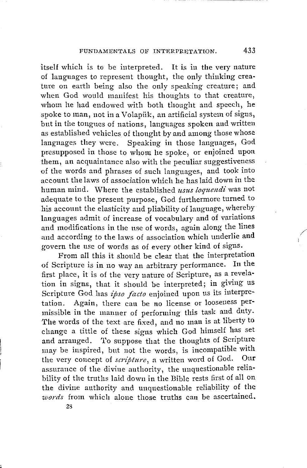itself which is to be interpreted. It is in the very nature of languages to represent thought, the only thinking crea• ture on earth being also the only speaking creature; and when God would manifest his thoughts to that creature, whom he had endowed with both thought and speech, he spoke to man, not in a Volapiik, an artificial system of signs, but in the tongues of nations, languages spoken and written as established vehicles of thought by and among those whose languages they were. Speaking in those languages, God presupposed in those to whom he spoke, or enjoined upon them, an acquaintance also with the peculiar suggestiveness of the words and phrases of such languages, and took into account the laws of association which he has laid down in the human mind. Where the established *usus loquendi* was not adequate to the present purpose, God furthermore turned to his account the elasticity and pliability of language, whereby languages admit of increase of vocabulary and of variations and modifications in the use of words, again along the lines and according to the laws of association which underlie and govern the use of words as of every other kind of signs.

From all this it should be clear that the interpretation of Scripture is in no way an arbitrary performance. In the first place, it is of the very nature of Scripture, as a revelation in signs, that it should be interpreted; in giving us Scripture God has *ipso facto* enjoined upon us its interpretation. Again, there can be no license or looseness permissible in the manner of performing this task and duty. The words of the text are fixed, and no man is at liberty to change a tittle of these signs which God himself has set and arranged. 'l'o suppose that the thoughts of Scripture may be inspired, but not the words, is incompatible with the very concept of *scripture*, a written word of God. Our assurance of the divine authority, the unquestionable reliability of the truths laid down in the Bible rests first of all on the divine authority and unquestionable reliability of the *words* from which alone those truths can be ascertained.